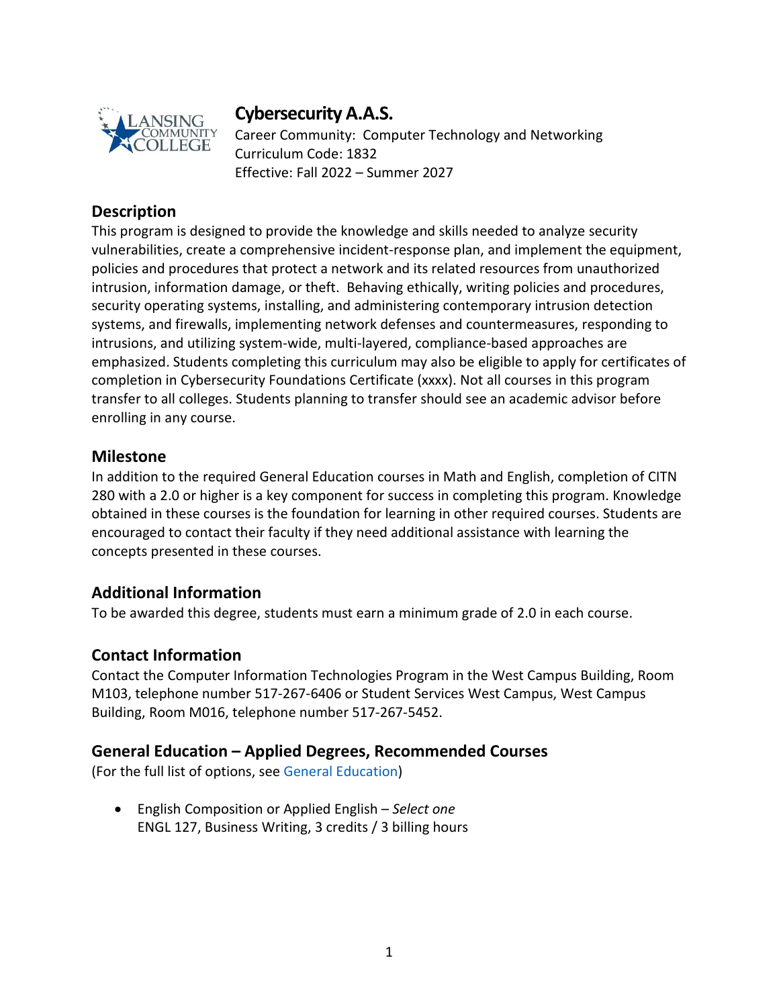

# **Cybersecurity A.A.S.**

Career Community: Computer Technology and Networking Curriculum Code: 1832 Effective: Fall 2022 – Summer 2027

## **Description**

This program is designed to provide the knowledge and skills needed to analyze security vulnerabilities, create a comprehensive incident-response plan, and implement the equipment, policies and procedures that protect a network and its related resources from unauthorized intrusion, information damage, or theft. Behaving ethically, writing policies and procedures, security operating systems, installing, and administering contemporary intrusion detection systems, and firewalls, implementing network defenses and countermeasures, responding to intrusions, and utilizing system-wide, multi-layered, compliance-based approaches are emphasized. Students completing this curriculum may also be eligible to apply for certificates of completion in Cybersecurity Foundations Certificate (xxxx). Not all courses in this program transfer to all colleges. Students planning to transfer should see an academic advisor before enrolling in any course.

#### **Milestone**

In addition to the required General Education courses in Math and English, completion of CITN 280 with a 2.0 or higher is a key component for success in completing this program. Knowledge obtained in these courses is the foundation for learning in other required courses. Students are encouraged to contact their faculty if they need additional assistance with learning the concepts presented in these courses.

# **Additional Information**

To be awarded this degree, students must earn a minimum grade of 2.0 in each course.

#### **Contact Information**

Contact the Computer Information Technologies Program in the West Campus Building, Room M103, telephone number 517-267-6406 or Student Services West Campus, West Campus Building, Room M016, telephone number 517-267-5452.

#### **General Education – Applied Degrees, Recommended Courses**

(For the full list of options, see General Education)

• English Composition or Applied English – *Select one* ENGL 127, Business Writing, 3 credits / 3 billing hours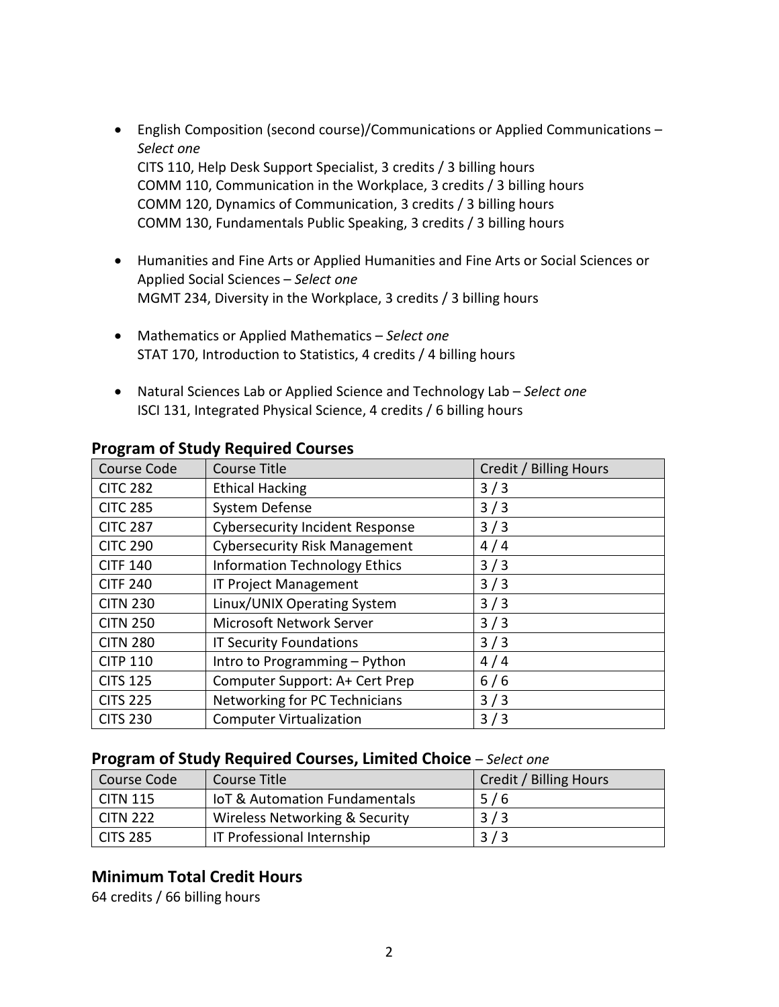- English Composition (second course)/Communications or Applied Communications *Select one* CITS 110, Help Desk Support Specialist, 3 credits / 3 billing hours COMM 110, Communication in the Workplace, 3 credits / 3 billing hours COMM 120, Dynamics of Communication, 3 credits / 3 billing hours COMM 130, Fundamentals Public Speaking, 3 credits / 3 billing hours
- Humanities and Fine Arts or Applied Humanities and Fine Arts or Social Sciences or Applied Social Sciences – *Select one* MGMT 234, Diversity in the Workplace, 3 credits / 3 billing hours
- Mathematics or Applied Mathematics *Select one* STAT 170, Introduction to Statistics, 4 credits / 4 billing hours
- Natural Sciences Lab or Applied Science and Technology Lab *Select one* ISCI 131, Integrated Physical Science, 4 credits / 6 billing hours

| Course Code     | Course Title                           | Credit / Billing Hours |
|-----------------|----------------------------------------|------------------------|
| <b>CITC 282</b> | <b>Ethical Hacking</b>                 | 3/3                    |
| <b>CITC 285</b> | System Defense                         | 3/3                    |
| <b>CITC 287</b> | <b>Cybersecurity Incident Response</b> | 3/3                    |
| <b>CITC 290</b> | <b>Cybersecurity Risk Management</b>   | 4/4                    |
| <b>CITF 140</b> | <b>Information Technology Ethics</b>   | 3/3                    |
| <b>CITF 240</b> | <b>IT Project Management</b>           | 3/3                    |
| <b>CITN 230</b> | Linux/UNIX Operating System            | 3/3                    |
| <b>CITN 250</b> | <b>Microsoft Network Server</b>        | 3/3                    |
| <b>CITN 280</b> | <b>IT Security Foundations</b>         | 3/3                    |
| <b>CITP 110</b> | Intro to Programming - Python          | 4/4                    |
| <b>CITS 125</b> | Computer Support: A+ Cert Prep         | 6/6                    |
| <b>CITS 225</b> | Networking for PC Technicians          | 3/3                    |
| <b>CITS 230</b> | <b>Computer Virtualization</b>         | 3/3                    |

#### **Program of Study Required Courses**

#### **Program of Study Required Courses, Limited Choice** *– Select one*

| Course Code      | Course Title                             | <b>Credit / Billing Hours</b> |
|------------------|------------------------------------------|-------------------------------|
| $\vert$ CITN 115 | <b>IoT &amp; Automation Fundamentals</b> | 5/6                           |
| CITN 222         | Wireless Networking & Security           | 3/3                           |
| CITS 285         | <b>IT Professional Internship</b>        | 3/3                           |

#### **Minimum Total Credit Hours**

64 credits / 66 billing hours